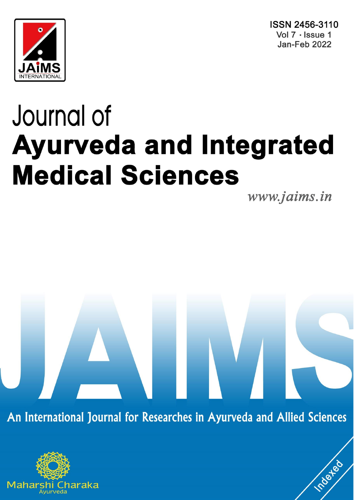



# Journal of **Ayurveda and Integrated Medical Sciences**

www.jaims.in

roated

An International Journal for Researches in Ayurveda and Allied Sciences

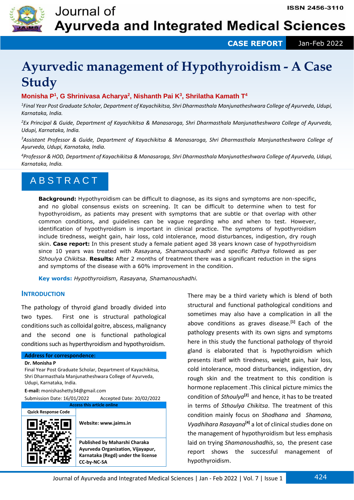

 **CASE REPORT** Jan-Feb 2022

# **Ayurvedic management of Hypothyroidism - A Case Study**

## **Monisha P<sup>1</sup> , G Shrinivasa Acharya<sup>2</sup> , Nishanth Pai K<sup>3</sup> , Shrilatha Kamath T<sup>4</sup>**

*1 Final Year Post Graduate Scholar, Department of Kayachikitsa, Shri Dharmasthala Manjunatheshwara College of Ayurveda, Udupi, Karnataka, India.*

*<sup>2</sup>Ex Principal & Guide, Department of Kayachikitsa & Manasaroga, Shri Dharmasthala Manjunatheshwara College of Ayurveda, Udupi, Karnataka, India.*

*<sup>3</sup>Assistant Professor & Guide, Department of Kayachikitsa & Manasaroga, Shri Dharmasthala Manjunatheshwara College of Ayurveda, Udupi, Karnataka, India.*

*<sup>4</sup>Professor & HOD, Department of Kayachikitsa & Manasaroga, Shri Dharmasthala Manjunatheshwara College of Ayurveda, Udupi, Karnataka, India.*

## **ABSTRACT**

**Background:** Hypothyroidism can be difficult to diagnose, as its signs and symptoms are non-specific, and no global consensus exists on screening. It can be difficult to determine when to test for hypothyroidism, as patients may present with symptoms that are subtle or that overlap with other common conditions, and guidelines can be vague regarding who and when to test. However, identification of hypothyroidism is important in clinical practice. The symptoms of hypothyroidism include tiredness, weight gain, hair loss, cold intolerance, mood disturbances, indigestion, dry rough skin. **Case report:** In this present study a female patient aged 38 years known case of hypothyroidism since 10 years was treated with *Rasayana, Shamanoushadhi* and specific *Pathya* followed as per *Sthoulya Chikitsa*. **Results:** After 2 months of treatment there was a significant reduction in the signs and symptoms of the disease with a 60% improvement in the condition.

**Key words:** *Hypothyroidism, Rasayana, Shamanoushadhi.*

### **INTRODUCTION**

The pathology of thyroid gland broadly divided into two types. First one is structural pathological conditions such as colloidal goitre, abscess, malignancy and the second one is functional pathological conditions such as hyperthyroidism and hypothyroidism.

#### **Address for correspondence:**

**Dr. Monisha P** 

Final Year Post Graduate Scholar, Department of Kayachikitsa, Shri Dharmasthala Manjunatheshwara College of Ayurveda, Udupi, Karnataka, India.

**E-mail:** monishashetty34@gmail.com Submission Date: 16/01/2022 Accepted Date: 20/02/2022



There may be a third variety which is blend of both structural and functional pathological conditions and sometimes may also have a complication in all the above conditions as graves disease.**[1]** Each of the pathology presents with its own signs and symptoms here in this study the functional pathology of thyroid gland is elaborated that is hypothyroidism which presents itself with tiredness, weight gain, hair loss, cold intolerance, mood disturbances, indigestion, dry rough skin and the treatment to this condition is hormone replacement .This clinical picture mimics the condition of *Sthoulya***[2]** and hence, it has to be treated in terms of *Sthoulya Chikitsa*. The treatment of this condition mainly focus on *Shodhana* and *Shamana, Vyadhihara Rasayana***[4]** a lot of clinical studies done on the management of hypothyroidism but less emphasis laid on trying *Shamanoushadhis*, so, the present case report shows the successful management of hypothyroidism.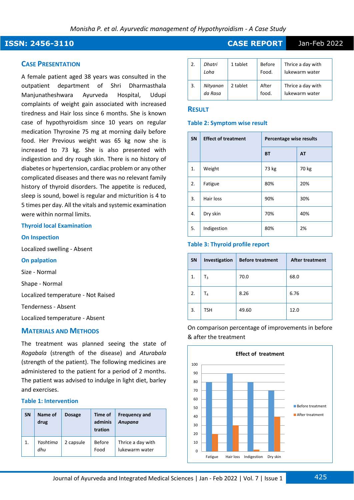## **ISSN: 2456-3110 CASE REPORT** Jan-Feb 2022

#### **CASE PRESENTATION**

A female patient aged 38 years was consulted in the outpatient department of Shri Dharmasthala Manjunatheshwara Ayurveda Hospital, Udupi complaints of weight gain associated with increased tiredness and Hair loss since 6 months. She is known case of hypothyroidism since 10 years on regular medication Thyroxine 75 mg at morning daily before food. Her Previous weight was 65 kg now she is increased to 73 kg. She is also presented with indigestion and dry rough skin. There is no history of diabetes or hypertension, cardiac problem or any other complicated diseases and there was no relevant family history of thyroid disorders. The appetite is reduced, sleep is sound, bowel is regular and micturition is 4 to 5 times per day. All the vitals and systemic examination were within normal limits.

#### **Thyroid local Examination**

#### **On Inspection**

Localized swelling - Absent

#### **On palpation**

Size - Normal

Shape - Normal

Localized temperature - Not Raised

Tenderness - Absent

Localized temperature - Absent

#### **MATERIALS AND METHODS**

The treatment was planned seeing the state of *Rogabala* (strength of the disease) and *Aturabala* (strength of the patient). The following medicines are administered to the patient for a period of 2 months. The patient was advised to indulge in light diet, barley and exercises.

#### **Table 1: Intervention**

| <b>SN</b> | Name of<br>drug | <b>Dosage</b> | Time of<br>adminis<br>tration | <b>Frequency and</b><br>Anupana     |
|-----------|-----------------|---------------|-------------------------------|-------------------------------------|
| 1.        | Yashtima<br>dhu | 2 capsule     | <b>Before</b><br>Food         | Thrice a day with<br>lukewarm water |

| 2. | Dhatri<br>Loha      | 1 tablet | <b>Before</b><br>Food. | Thrice a day with<br>lukewarm water |
|----|---------------------|----------|------------------------|-------------------------------------|
| 3. | Nityanan<br>da Rasa | 2 tablet | After<br>food.         | Thrice a day with<br>lukewarm water |

#### **RESULT**

#### **Table 2: Symptom wise result**

| <b>SN</b> | <b>Effect of treatment</b> | Percentage wise results |       |
|-----------|----------------------------|-------------------------|-------|
|           |                            | <b>BT</b>               | AT    |
| 1.        | Weight                     | 73 kg                   | 70 kg |
| 2.        | Fatigue                    | 80%                     | 20%   |
| 3.        | Hair loss                  | 90%                     | 30%   |
| 4.        | Dry skin                   | 70%                     | 40%   |
| 5.        | Indigestion                | 80%                     | 2%    |

#### **Table 3: Thyroid profile report**

| SN | Investigation | <b>Before treatment</b> | <b>After treatment</b> |
|----|---------------|-------------------------|------------------------|
| 1. | $T_3$         | 70.0                    | 68.0                   |
| 2. | T4            | 8.26                    | 6.76                   |
| 3. | <b>TSH</b>    | 49.60                   | 12.0                   |

On comparison percentage of improvements in before & after the treatment